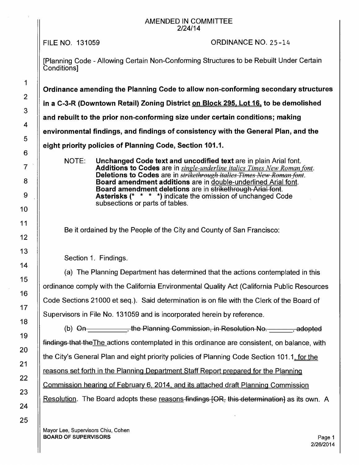## AMENDED IN COMMITTEE 2/24/14

FILE NO. 131059

ORDINANCE NO. 25-14

[Planning Code - Allowing Certain Non-Conforming Structures to be Rebuilt Under Certain **Conditions1** 

**Ordinance amending the Planning Code to allow non-conforming secondary structures in a C-3-R (Downtown Retail) Zoning District on Block 295. Lot 16. to be demolished and rebuilt to the prior non-conforming size under certain conditions; making** 

**environmental findings, and findings of consistency with the General Plan, and the** 

**eight priority policies of Planning Code, Section 101.1.** 

NOTE: **Unchanged Code text and uncodified text** are in plain Arial font. **Additions to Codes** are in *single-underline italics Times New Roman font.*  **Deletions to Codes** are in *strikethrough italics Times New Roman font.* **Board amendment additions** are in double-underlined Arial font. **Board amendment deletions** are in strikethrough Arial font. **Asterisks(\*** \* \* \*)indicate the omission of unchanged Code subsections or parts of tables.

Be it ordained by the People of the City and County of San Francisco:

Section 1. Findings.

(a) The Planning Department has determined that the actions contemplated in this ordinance comply with the California Environmental Quality Act (California Public Resources Code Sections 21000 et seq.). Said determination is on file with the Clerk of the Board of Supervisors in File No. 131059 and is incorporated herein by reference.

(b)  $\Theta$ n the Planning Commission, in Resolution No. the adopted in the Planning Commission, in Resolution No. findings that theThe actions contemplated in this ordinance are consistent, on balance, with the City's General Plan and eight priority policies of Planning Code Section 101.1, for the reasons set forth in the Planning Department Staff Report prepared for the Planning Commission hearing of Februarv 6, 2014. and its attached draft Planning Commission Resolution. The Board adopts these reasons findings [OR, this determination] as its own. A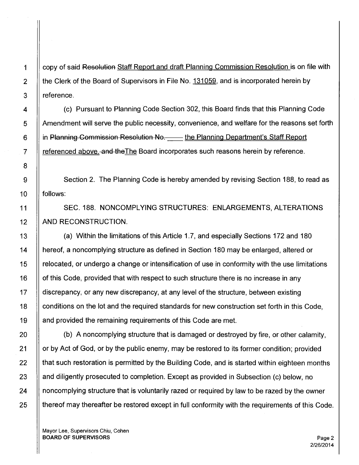1 | copy of said Resolution Staff Report and draft Planning Commission Resolution is on file with 2  $\parallel$  the Clerk of the Board of Supervisors in File No. 131059, and is incorporated herein by  $3$  || reference.

4 (c) Pursuant to Planning Code Section 302, this Board finds that this Planning Code 5 | Amendment will serve the public necessity, convenience, and welfare for the reasons set forth 6 | in Planning Commission Resolution No. Let the Planning Department's Staff Report 7 | referenced above. and the The Board incorporates such reasons herein by reference.

9 | Section 2. The Planning Code is hereby amended by revising Section 188, to read as 10 || follows:

11 SEC. 188. NONCOMPLYING STRUCTURES: ENLARGEMENTS, ALTERATIONS 12 | AND RECONSTRUCTION.

13 (a) Within the limitations of this Article 1.7, and especially Sections 172 and 180 14 hereof, a noncomplying structure as defined in Section 180 may be enlarged, altered or 15 relocated, or undergo a change or intensification of use in conformity with the use limitations 16 | of this Code, provided that with respect to such structure there is no increase in any 17 | discrepancy, or any new discrepancy, at any level of the structure, between existing 18 | conditions on the lot and the required standards for new construction set forth in this Code, 19 || and provided the remaining requirements of this Code are met.

 $20$   $\parallel$  (b) A noncomplying structure that is damaged or destroyed by fire, or other calamity, 21 | or by Act of God, or by the public enemy, may be restored to its former condition; provided  $22$   $\parallel$  that such restoration is permitted by the Building Code, and is started within eighteen months 23 | and diligently prosecuted to completion. Except as provided in Subsection (c) below, no 24 | noncomplying structure that is voluntarily razed or required by law to be razed by the owner  $25$  || thereof may thereafter be restored except in full conformity with the requirements of this Code.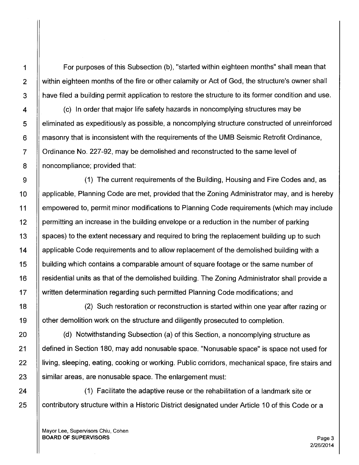1  $\parallel$  For purposes of this Subsection (b), "started within eighteen months" shall mean that 2 | within eighteen months of the fire or other calamity or Act of God, the structure's owner shall 3 || have filed a building permit application to restore the structure to its former condition and use.

 $4$   $\parallel$  (c) In order that major life safety hazards in noncomplying structures may be 5 eliminated as expeditiously as possible, a noncomplying structure constructed of unreinforced  $6$   $\parallel$  masonry that is inconsistent with the requirements of the UMB Seismic Retrofit Ordinance, 7 | Ordinance No. 227-92, may be demolished and reconstructed to the same level of 8 | noncompliance; provided that:

9 (1) The current requirements of the Building, Housing and Fire Codes and, as 10 | applicable, Planning Code are met, provided that the Zoning Administrator may, and is hereby 11 empowered to, permit minor modifications to Planning Code requirements (which may include 12 **permitting an increase in the building envelope or a reduction in the number of parking** 13 | spaces) to the extent necessary and required to bring the replacement building up to such 14 | applicable Code requirements and to allow replacement of the demolished building with a 15 building which contains a comparable amount of square footage or the same number of 16 | residential units as that of the demolished building. The Zoning Administrator shall provide a 17 written determination regarding such permitted Planning Code modifications; and

18 (2) Such restoration or reconstruction is started within one year after razing or 19 | other demolition work on the structure and diligently prosecuted to completion.

20 (d) Notwithstanding Subsection (a) of this Section, a noncomplying structure as 21 defined in Section 180, may add nonusable space. "Nonusable space" is space not used for 22 | living, sleeping, eating, cooking or working. Public corridors, mechanical space, fire stairs and  $23$  | similar areas, are nonusable space. The enlargement must:

24 (1) Facilitate the adaptive reuse or the rehabilitation of a landmark site or 25 | contributory structure within a Historic District designated under Article 10 of this Code or a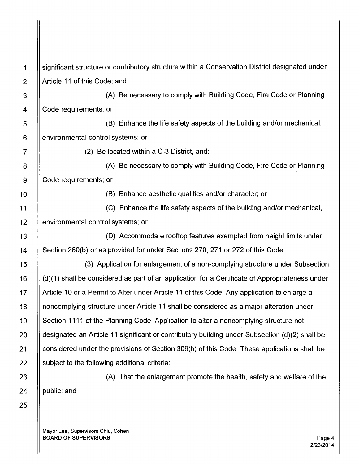25

1 significant structure or contributory structure within a Conservation District designated under 2 | Article 11 of this Code; and

3 | | (A) Be necessary to comply with Building Code, Fire Code or Planning 4 | Code requirements; or

5 (B) Enhance the life safety aspects of the building and/or mechanical, 6 **e** environmental control systems; or

 $7 \quad || \quad (2)$  Be located within a C-3 District, and:

8 | A) Be necessary to comply with Building Code, Fire Code or Planning 9 Code requirements; or

1 O (B) Enhance aesthetic qualities and/or character; or

11 (C) Enhance the life safety aspects of the building and/or mechanical, 12 **environmental control systems; or** 

13 (D) Accommodate rooftop features exempted from height limits under 14 | Section 260(b) or as provided for under Sections 270, 271 or 272 of this Code.

15 (3) Application for enlargement of a non-complying structure under Subsection 16 (d)(1) shall be considered as part of an application for a Certificate of Appropriateness under 17 | Article 10 or a Permit to Alter under Article 11 of this Code. Any application to enlarge a 18 noncomplying structure under Article 11 shall be considered as a major alteration under 19 | Section 1111 of the Planning Code. Application to alter a noncomplying structure not 20 designated an Article 11 significant or contributory building under Subsection (d)(2) shall be 21 | considered under the provisions of Section 309(b) of this Code. These applications shall be  $22$  | subject to the following additional criteria:

23 |  $\vert$  (A) That the enlargement promote the health, safety and welfare of the 24  $\parallel$  public; and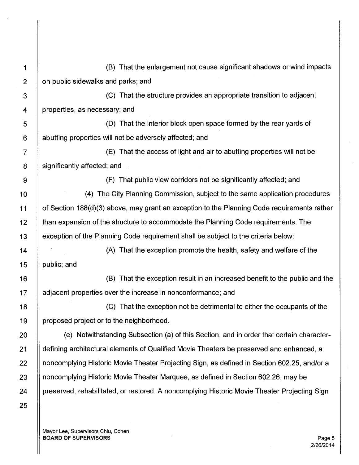25

1 (B) That the enlargement not cause significant shadows or wind impacts  $2$  | on public sidewalks and parks; and

3 (C) That the structure provides an appropriate transition to adjacent 4 | properties, as necessary; and

5 (D) That the interior block open space formed by the rear yards of 6 **abutting properties will not be adversely affected; and** 

7 (E) That the access of light and air to abutting properties will not be 8 || significantly affected; and

9 (F) That public view corridors not be significantly affected; and

10 | (4) The City Planning Commission, subject to the same application procedures 11 of Section 188(d)(3) above, may grant an exception to the Planning Code requirements rather 12 | than expansion of the structure to accommodate the Planning Code requirements. The 13 exception of the Planning Code requirement shall be subject to the criteria below:

14 (A) That the exception promote the health, safety and welfare of the 15  $\parallel$  public; and

16 (B) That the exception result in an increased benefit to the public and the 17 | adjacent properties over the increase in nonconformance; and

18 (C) That the exception not be detrimental to either the occupants of the  $19$  || proposed project or to the neighborhood.

20 | e) Notwithstanding Subsection (a) of this Section, and in order that certain character-21 | defining architectural elements of Qualified Movie Theaters be preserved and enhanced, a 22 | noncomplying Historic Movie Theater Projecting Sign, as defined in Section 602.25, and/or a 23 **http:** noncomplying Historic Movie Theater Marquee, as defined in Section 602.26, may be 24 | preserved, rehabilitated, or restored. A noncomplying Historic Movie Theater Projecting Sign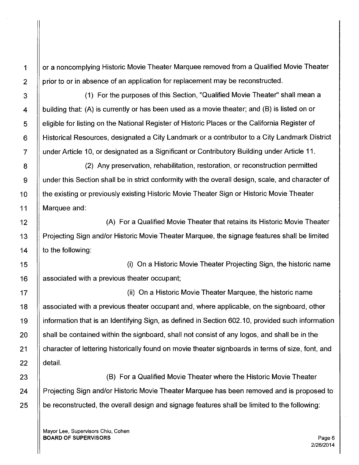1 I or a noncomplying Historic Movie Theater Marquee removed from a Qualified Movie Theater  $2 \parallel$  prior to or in absence of an application for replacement may be reconstructed.

3 (1) For the purposes of this Section, "Qualified Movie Theater" shall mean a  $4$  | building that: (A) is currently or has been used as a movie theater; and (B) is listed on or 5 | eligible for listing on the National Register of Historic Places or the California Register of 6 Historical Resources, designated a City Landmark or a contributor to a City Landmark District 7 under Article 10, or designated as a Significant or Contributory Building under Article 11.

8 (2) Any preservation, rehabilitation, restoration, or reconstruction permitted 9 under this Section shall be in strict conformity with the overall design, scale, and character of 10 | the existing or previously existing Historic Movie Theater Sign or Historic Movie Theater 11 Marquee and:

12 **II A** Gualified Movie Theater that retains its Historic Movie Theater in A 13 | Projecting Sign and/or Historic Movie Theater Marquee, the signage features shall be limited 14  $\parallel$  to the following:

15 (i) On a Historic Movie Theater Projecting Sign, the historic name 16 | associated with a previous theater occupant;

17 (ii) On a Historic Movie Theater Marquee, the historic name 18 associated with a previous theater occupant and, where applicable, on the signboard, other 19 information that is an Identifying Sign, as defined in Section 602.10, provided such information  $20$   $\parallel$  shall be contained within the signboard, shall not consist of any logos, and shall be in the 21 | character of lettering historically found on movie theater signboards in terms of size, font, and 22 detail.

23 II **South Arizon** (B) For a Qualified Movie Theater where the Historic Movie Theater 24 | Projecting Sign and/or Historic Movie Theater Marquee has been removed and is proposed to  $25$   $\parallel$  be reconstructed, the overall design and signage features shall be limited to the following: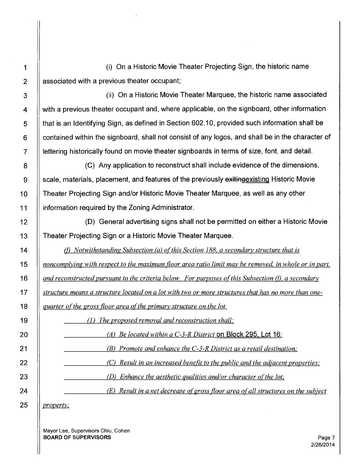1 (i) On a Historic Movie Theater Projecting Sign, the historic name  $2 \parallel$  associated with a previous theater occupant;

3 (ii) On a Historic Movie Theater Marquee, the historic name associated 4 | with a previous theater occupant and, where applicable, on the signboard, other information 5 | that is an Identifying Sign, as defined in Section 602.10, provided such information shall be  $6$   $\parallel$  contained within the signboard, shall not consist of any logos, and shall be in the character of 7 | lettering historically found on movie theater signboards in terms of size, font, and detail.

8 | C) Any application to reconstruct shall include evidence of the dimensions,  $9$   $\parallel$  scale, materials, placement, and features of the previously exiting existing Historic Movie <sup>1</sup>o Theater Projecting Sign and/or Historic Movie Theater Marquee, as well as any other 11 information required by the Zoning Administrator.

12 (D) General advertising signs shall not be permitted on either a Historic Movie 13 **Theater Projecting Sign or a Historic Movie Theater Marquee.** 

14 (f) *Notwithstanding Subsection (a) of this Section 188, a secondary structure that is noncomplying with respect to the maximum floor area ratio limit may be removed, in whole or in part, and reconstructed pursuant to the criteria below. For purposes of this Subsection (f), a secondary* **<b>16** *structure means a structure located on a lot with two or more structures that has no more than one-quarter of the gross floor area of the primary structure on the lot.* 

19 **||** (1) *The proposed removal and reconstruction shall:* 

*(A) Be located within a C-3-R District* on Block 295. Lot 16; *(B) Promote and enhance the C-3-R District as a retail destination; (C) Result in an increased benefit to the public and the adjacent properties;*  **(D)** Enhance the aesthetic qualities and/or character of the lot; *(E) Result in a net decrease ofgross floor area of all structures on the subject* 

25 *property;*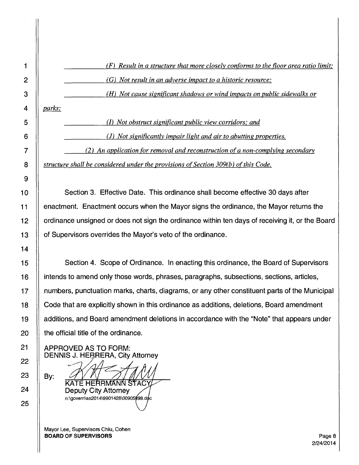|   | $(F)$ Result in a structure that more closely conforms to the floor area ratio limit; |
|---|---------------------------------------------------------------------------------------|
|   | $(G)$ Not result in an adverse impact to a historic resource;                         |
| 3 | (H) Not cause significant shadows or wind impacts on public sidewalks or              |

4 *parks;* 

5 (l) *Not obstruct significant public view corridors; and* 

6 (J) *Not significantly impair light and air to abutting properties.* 

7 *(2) An application for removal and reconstruction of a non-complying secondary*  8 **8 juinting in the shall be considered under the provisions of Section 309(b) of this Code.** 

10 **Section 3. Effective Date. This ordinance shall become effective 30 days after** 11 enactment. Enactment occurs when the Mayor signs the ordinance, the Mayor returns the 12 | | ordinance unsigned or does not sign the ordinance within ten days of receiving it, or the Board 13 | of Supervisors overrides the Mayor's veto of the ordinance.

Section 4. Scope of Ordinance. In enacting this ordinance, the Board of Supervisors intends to amend only those words, phrases, paragraphs, subsections, sections, articles, numbers, punctuation marks, charts, diagrams, or any other constituent parts of the Municipal Code that are explicitly shown in this ordinance as additions, deletions, Board amendment additions, and Board amendment deletions in accordance with the "Note" that appears under the official title of the ordinance.

APPROVED AS TO FORM: DENNIS J. HERRERA, City Attorney

By:

KATE HERRMANN STAC Deputy City Attorney n:\govern\as2014\9901428\00905998.doc